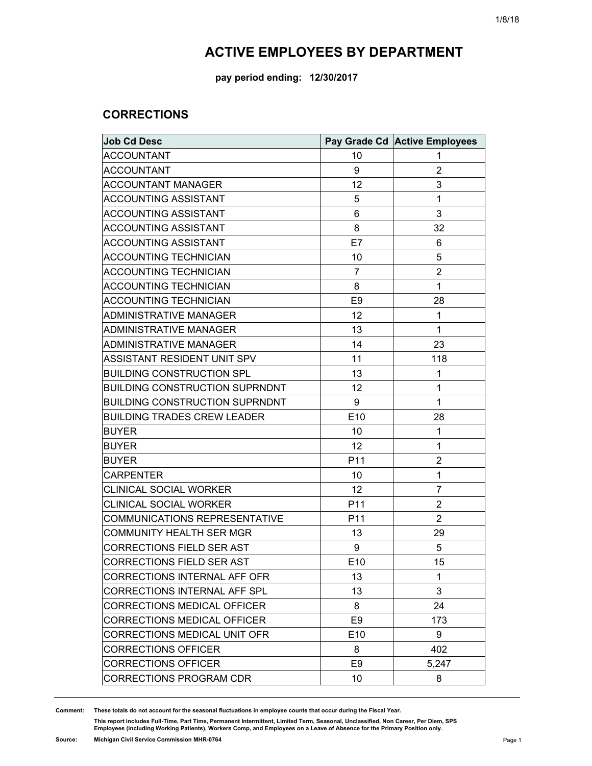**pay period ending: 12/30/2017**

### **CORRECTIONS**

| <b>Job Cd Desc</b>                    |                 | Pay Grade Cd Active Employees |
|---------------------------------------|-----------------|-------------------------------|
| <b>ACCOUNTANT</b>                     | 10              | 1                             |
| <b>ACCOUNTANT</b>                     | 9               | $\overline{2}$                |
| <b>ACCOUNTANT MANAGER</b>             | 12              | 3                             |
| <b>ACCOUNTING ASSISTANT</b>           | 5               | 1                             |
| <b>ACCOUNTING ASSISTANT</b>           | 6               | 3                             |
| <b>ACCOUNTING ASSISTANT</b>           | 8               | 32                            |
| <b>ACCOUNTING ASSISTANT</b>           | E7              | 6                             |
| <b>ACCOUNTING TECHNICIAN</b>          | 10              | 5                             |
| <b>ACCOUNTING TECHNICIAN</b>          | $\overline{7}$  | $\overline{2}$                |
| <b>ACCOUNTING TECHNICIAN</b>          | 8               | 1                             |
| <b>ACCOUNTING TECHNICIAN</b>          | E <sub>9</sub>  | 28                            |
| ADMINISTRATIVE MANAGER                | 12              | 1                             |
| <b>ADMINISTRATIVE MANAGER</b>         | 13              | 1                             |
| <b>ADMINISTRATIVE MANAGER</b>         | 14              | 23                            |
| ASSISTANT RESIDENT UNIT SPV           | 11              | 118                           |
| <b>BUILDING CONSTRUCTION SPL</b>      | 13              | 1                             |
| <b>BUILDING CONSTRUCTION SUPRNDNT</b> | 12              | 1                             |
| <b>BUILDING CONSTRUCTION SUPRNDNT</b> | 9               | 1                             |
| <b>BUILDING TRADES CREW LEADER</b>    | E10             | 28                            |
| <b>BUYER</b>                          | 10              | 1                             |
| <b>BUYER</b>                          | 12              | 1                             |
| <b>BUYER</b>                          | P11             | $\overline{2}$                |
| <b>CARPENTER</b>                      | 10              | 1                             |
| <b>CLINICAL SOCIAL WORKER</b>         | 12              | $\overline{7}$                |
| <b>CLINICAL SOCIAL WORKER</b>         | P11             | $\overline{2}$                |
| <b>COMMUNICATIONS REPRESENTATIVE</b>  | P <sub>11</sub> | $\overline{2}$                |
| <b>COMMUNITY HEALTH SER MGR</b>       | 13              | 29                            |
| CORRECTIONS FIELD SER AST             | 9               | 5                             |
| <b>CORRECTIONS FIELD SER AST</b>      | E10             | 15                            |
| <b>CORRECTIONS INTERNAL AFF OFR</b>   | 13              | 1                             |
| <b>CORRECTIONS INTERNAL AFF SPL</b>   | 13              | 3                             |
| <b>CORRECTIONS MEDICAL OFFICER</b>    | 8               | 24                            |
| <b>CORRECTIONS MEDICAL OFFICER</b>    | E <sub>9</sub>  | 173                           |
| CORRECTIONS MEDICAL UNIT OFR          | E <sub>10</sub> | 9                             |
| <b>CORRECTIONS OFFICER</b>            | 8               | 402                           |
| <b>CORRECTIONS OFFICER</b>            | E <sub>9</sub>  | 5,247                         |
| <b>CORRECTIONS PROGRAM CDR</b>        | 10              | 8                             |

**Comment: These totals do not account for the seasonal fluctuations in employee counts that occur during the Fiscal Year.**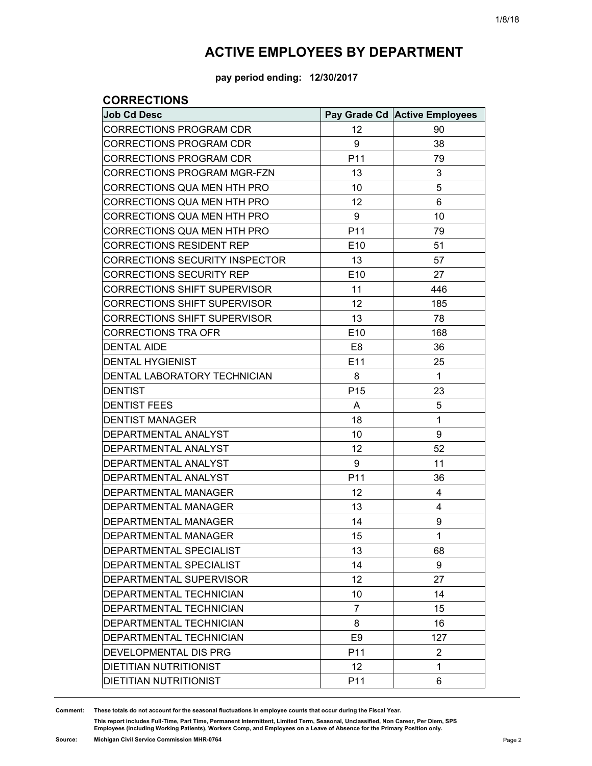**pay period ending: 12/30/2017**

### **CORRECTIONS**

| <b>Job Cd Desc</b>                    |                 | Pay Grade Cd Active Employees |
|---------------------------------------|-----------------|-------------------------------|
| CORRECTIONS PROGRAM CDR               | 12              | 90                            |
| <b>CORRECTIONS PROGRAM CDR</b>        | 9               | 38                            |
| <b>CORRECTIONS PROGRAM CDR</b>        | P <sub>11</sub> | 79                            |
| CORRECTIONS PROGRAM MGR-FZN           | 13              | 3                             |
| CORRECTIONS QUA MEN HTH PRO           | 10              | 5                             |
| CORRECTIONS QUA MEN HTH PRO           | 12              | 6                             |
| CORRECTIONS QUA MEN HTH PRO           | 9               | 10                            |
| CORRECTIONS QUA MEN HTH PRO           | P <sub>11</sub> | 79                            |
| CORRECTIONS RESIDENT REP              | E <sub>10</sub> | 51                            |
| <b>CORRECTIONS SECURITY INSPECTOR</b> | 13              | 57                            |
| <b>CORRECTIONS SECURITY REP</b>       | E <sub>10</sub> | 27                            |
| <b>CORRECTIONS SHIFT SUPERVISOR</b>   | 11              | 446                           |
| <b>CORRECTIONS SHIFT SUPERVISOR</b>   | 12              | 185                           |
| <b>CORRECTIONS SHIFT SUPERVISOR</b>   | 13              | 78                            |
| <b>CORRECTIONS TRA OFR</b>            | E <sub>10</sub> | 168                           |
| <b>DENTAL AIDE</b>                    | E8              | 36                            |
| <b>DENTAL HYGIENIST</b>               | E11             | 25                            |
| DENTAL LABORATORY TECHNICIAN          | 8               | 1                             |
| <b>DENTIST</b>                        | P <sub>15</sub> | 23                            |
| <b>DENTIST FEES</b>                   | A               | 5                             |
| <b>DENTIST MANAGER</b>                | 18              | $\mathbf{1}$                  |
| DEPARTMENTAL ANALYST                  | 10              | 9                             |
| DEPARTMENTAL ANALYST                  | 12              | 52                            |
| DEPARTMENTAL ANALYST                  | 9               | 11                            |
| DEPARTMENTAL ANALYST                  | P <sub>11</sub> | 36                            |
| <b>DEPARTMENTAL MANAGER</b>           | 12              | 4                             |
| DEPARTMENTAL MANAGER                  | 13              | 4                             |
| <b>DEPARTMENTAL MANAGER</b>           | 14              | 9                             |
| <b>DEPARTMENTAL MANAGER</b>           | 15              | 1                             |
| DEPARTMENTAL SPECIALIST               | 13              | 68                            |
| DEPARTMENTAL SPECIALIST               | 14              | 9                             |
| DEPARTMENTAL SUPERVISOR               | 12              | 27                            |
| DEPARTMENTAL TECHNICIAN               | 10              | 14                            |
| DEPARTMENTAL TECHNICIAN               | 7               | 15                            |
| DEPARTMENTAL TECHNICIAN               | 8               | 16                            |
| <b>DEPARTMENTAL TECHNICIAN</b>        | E <sub>9</sub>  | 127                           |
| DEVELOPMENTAL DIS PRG                 | P <sub>11</sub> | 2                             |
| <b>DIETITIAN NUTRITIONIST</b>         | 12              | 1                             |
| DIETITIAN NUTRITIONIST                | P <sub>11</sub> | 6                             |

**Comment: These totals do not account for the seasonal fluctuations in employee counts that occur during the Fiscal Year.**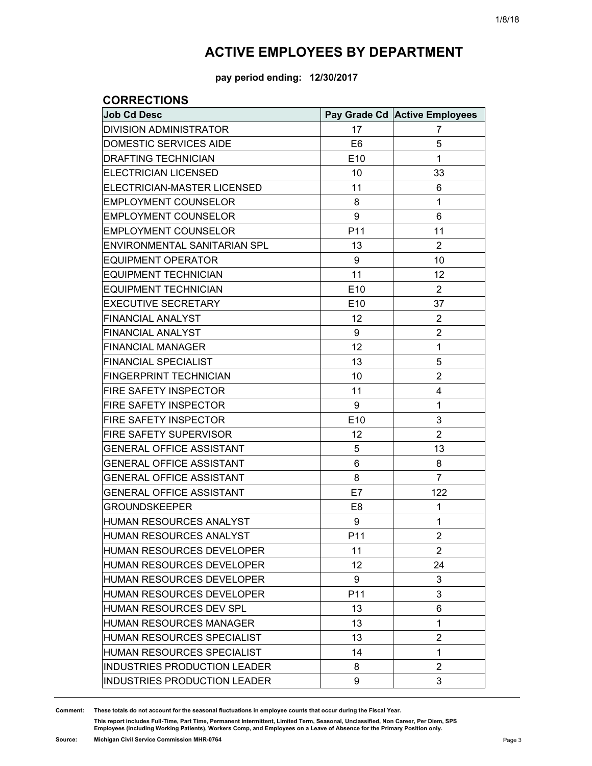**pay period ending: 12/30/2017**

### **CORRECTIONS**

| <b>Job Cd Desc</b>                  |                 | Pay Grade Cd Active Employees |
|-------------------------------------|-----------------|-------------------------------|
| <b>DIVISION ADMINISTRATOR</b>       | 17              | 7                             |
| DOMESTIC SERVICES AIDE              | E <sub>6</sub>  | 5                             |
| <b>DRAFTING TECHNICIAN</b>          | E <sub>10</sub> | 1                             |
| <b>ELECTRICIAN LICENSED</b>         | 10              | 33                            |
| ELECTRICIAN-MASTER LICENSED         | 11              | 6                             |
| <b>EMPLOYMENT COUNSELOR</b>         | 8               | 1                             |
| <b>EMPLOYMENT COUNSELOR</b>         | 9               | 6                             |
| <b>EMPLOYMENT COUNSELOR</b>         | P11             | 11                            |
| ENVIRONMENTAL SANITARIAN SPL        | 13              | $\overline{2}$                |
| <b>EQUIPMENT OPERATOR</b>           | 9               | 10                            |
| <b>EQUIPMENT TECHNICIAN</b>         | 11              | 12                            |
| <b>EQUIPMENT TECHNICIAN</b>         | E10             | $\overline{2}$                |
| <b>EXECUTIVE SECRETARY</b>          | E <sub>10</sub> | 37                            |
| <b>FINANCIAL ANALYST</b>            | 12              | $\overline{2}$                |
| FINANCIAL ANALYST                   | 9               | 2                             |
| <b>FINANCIAL MANAGER</b>            | 12              | 1                             |
| <b>FINANCIAL SPECIALIST</b>         | 13              | 5                             |
| <b>FINGERPRINT TECHNICIAN</b>       | 10              | $\overline{2}$                |
| FIRE SAFETY INSPECTOR               | 11              | 4                             |
| <b>FIRE SAFETY INSPECTOR</b>        | 9               | $\mathbf{1}$                  |
| FIRE SAFETY INSPECTOR               | E10             | 3                             |
| <b>FIRE SAFETY SUPERVISOR</b>       | 12              | $\overline{2}$                |
| <b>GENERAL OFFICE ASSISTANT</b>     | 5               | 13                            |
| <b>GENERAL OFFICE ASSISTANT</b>     | 6               | 8                             |
| <b>GENERAL OFFICE ASSISTANT</b>     | 8               | $\overline{7}$                |
| <b>GENERAL OFFICE ASSISTANT</b>     | E7              | 122                           |
| <b>GROUNDSKEEPER</b>                | E <sub>8</sub>  | 1                             |
| HUMAN RESOURCES ANALYST             | 9               | 1                             |
| HUMAN RESOURCES ANALYST             | P <sub>11</sub> | 2                             |
| HUMAN RESOURCES DEVELOPER           | 11              | $\overline{2}$                |
| HUMAN RESOURCES DEVELOPER           | 12              | 24                            |
| <b>HUMAN RESOURCES DEVELOPER</b>    | 9               | 3                             |
| HUMAN RESOURCES DEVELOPER           | P <sub>11</sub> | 3                             |
| HUMAN RESOURCES DEV SPL             | 13              | 6                             |
| <b>HUMAN RESOURCES MANAGER</b>      | 13              | 1                             |
| HUMAN RESOURCES SPECIALIST          | 13              | $\overline{2}$                |
| HUMAN RESOURCES SPECIALIST          | 14              | $\mathbf{1}$                  |
| INDUSTRIES PRODUCTION LEADER        | 8               | $\overline{2}$                |
| <b>INDUSTRIES PRODUCTION LEADER</b> | 9               | 3                             |

**Comment: These totals do not account for the seasonal fluctuations in employee counts that occur during the Fiscal Year.**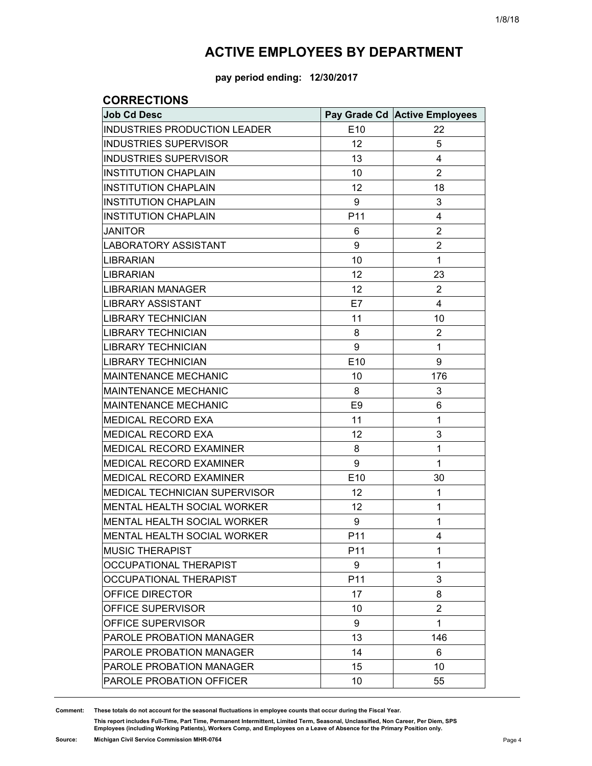**pay period ending: 12/30/2017**

### **CORRECTIONS**

| <b>Job Cd Desc</b>                   |                 | Pay Grade Cd Active Employees |
|--------------------------------------|-----------------|-------------------------------|
| <b>INDUSTRIES PRODUCTION LEADER</b>  | E10             | 22                            |
| <b>INDUSTRIES SUPERVISOR</b>         | 12              | 5                             |
| <b>INDUSTRIES SUPERVISOR</b>         | 13              | 4                             |
| <b>INSTITUTION CHAPLAIN</b>          | 10              | $\overline{2}$                |
| <b>INSTITUTION CHAPLAIN</b>          | 12              | 18                            |
| <b>INSTITUTION CHAPLAIN</b>          | 9               | 3                             |
| <b>INSTITUTION CHAPLAIN</b>          | P11             | 4                             |
| <b>JANITOR</b>                       | 6               | $\overline{2}$                |
| <b>LABORATORY ASSISTANT</b>          | 9               | 2                             |
| <b>LIBRARIAN</b>                     | 10              | $\mathbf{1}$                  |
| <b>LIBRARIAN</b>                     | 12              | 23                            |
| <b>LIBRARIAN MANAGER</b>             | 12              | $\overline{2}$                |
| <b>LIBRARY ASSISTANT</b>             | E7              | 4                             |
| <b>LIBRARY TECHNICIAN</b>            | 11              | 10                            |
| <b>LIBRARY TECHNICIAN</b>            | 8               | $\overline{2}$                |
| <b>LIBRARY TECHNICIAN</b>            | 9               | $\mathbf{1}$                  |
| <b>LIBRARY TECHNICIAN</b>            | E10             | 9                             |
| <b>MAINTENANCE MECHANIC</b>          | 10              | 176                           |
| <b>MAINTENANCE MECHANIC</b>          | 8               | 3                             |
| <b>MAINTENANCE MECHANIC</b>          | E <sub>9</sub>  | 6                             |
| <b>MEDICAL RECORD EXA</b>            | 11              | $\mathbf{1}$                  |
| MEDICAL RECORD EXA                   | 12              | 3                             |
| MEDICAL RECORD EXAMINER              | 8               | 1                             |
| MEDICAL RECORD EXAMINER              | 9               | $\mathbf{1}$                  |
| MEDICAL RECORD EXAMINER              | E10             | 30                            |
| <b>MEDICAL TECHNICIAN SUPERVISOR</b> | 12              | 1                             |
| MENTAL HEALTH SOCIAL WORKER          | 12              | 1                             |
| MENTAL HEALTH SOCIAL WORKER          | 9               | 1                             |
| MENTAL HEALTH SOCIAL WORKER          | P <sub>11</sub> | 4                             |
| <b>MUSIC THERAPIST</b>               | P <sub>11</sub> | 1                             |
| OCCUPATIONAL THERAPIST               | 9               | 1                             |
| OCCUPATIONAL THERAPIST               | P11             | 3                             |
| OFFICE DIRECTOR                      | 17              | 8                             |
| OFFICE SUPERVISOR                    | 10              | $\overline{2}$                |
| OFFICE SUPERVISOR                    | 9               | 1                             |
| PAROLE PROBATION MANAGER             | 13              | 146                           |
| PAROLE PROBATION MANAGER             | 14              | 6                             |
| PAROLE PROBATION MANAGER             | 15              | 10                            |
| PAROLE PROBATION OFFICER             | 10              | 55                            |

**Comment: These totals do not account for the seasonal fluctuations in employee counts that occur during the Fiscal Year.**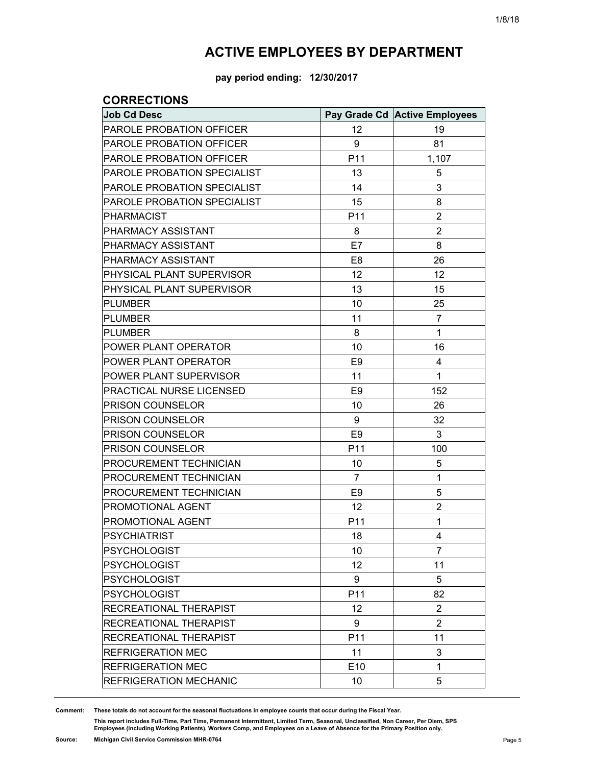**pay period ending: 12/30/2017**

### **CORRECTIONS**

| <b>Job Cd Desc</b>            |                 | Pay Grade Cd Active Employees |
|-------------------------------|-----------------|-------------------------------|
| PAROLE PROBATION OFFICER      | 12              | 19                            |
| PAROLE PROBATION OFFICER      | 9               | 81                            |
| PAROLE PROBATION OFFICER      | P <sub>11</sub> | 1,107                         |
| PAROLE PROBATION SPECIALIST   | 13              | 5                             |
| PAROLE PROBATION SPECIALIST   | 14              | 3                             |
| PAROLE PROBATION SPECIALIST   | 15              | 8                             |
| <b>PHARMACIST</b>             | P11             | $\overline{2}$                |
| PHARMACY ASSISTANT            | 8               | $\overline{2}$                |
| PHARMACY ASSISTANT            | E7              | 8                             |
| PHARMACY ASSISTANT            | E <sub>8</sub>  | 26                            |
| PHYSICAL PLANT SUPERVISOR     | 12              | 12                            |
| PHYSICAL PLANT SUPERVISOR     | 13              | 15                            |
| <b>PLUMBER</b>                | 10              | 25                            |
| <b>PLUMBER</b>                | 11              | $\overline{7}$                |
| <b>PLUMBER</b>                | 8               | 1                             |
| POWER PLANT OPERATOR          | 10              | 16                            |
| POWER PLANT OPERATOR          | E <sub>9</sub>  | 4                             |
| POWER PLANT SUPERVISOR        | 11              | 1                             |
| PRACTICAL NURSE LICENSED      | E <sub>9</sub>  | 152                           |
| PRISON COUNSELOR              | 10              | 26                            |
| PRISON COUNSELOR              | 9               | 32                            |
| PRISON COUNSELOR              | E <sub>9</sub>  | 3                             |
| PRISON COUNSELOR              | P11             | 100                           |
| PROCUREMENT TECHNICIAN        | 10              | 5                             |
| PROCUREMENT TECHNICIAN        | 7               | 1                             |
| PROCUREMENT TECHNICIAN        | E <sub>9</sub>  | 5                             |
| PROMOTIONAL AGENT             | 12              | $\overline{2}$                |
| PROMOTIONAL AGENT             | P11             | 1                             |
| <b>PSYCHIATRIST</b>           | 18              | $\overline{4}$                |
| <b>PSYCHOLOGIST</b>           | 10              | $\overline{7}$                |
| <b>PSYCHOLOGIST</b>           | 12              | 11                            |
| <b>PSYCHOLOGIST</b>           | 9               | 5                             |
| <b>PSYCHOLOGIST</b>           | P11             | 82                            |
| RECREATIONAL THERAPIST        | 12              | $\overline{2}$                |
| RECREATIONAL THERAPIST        | 9               | $\overline{2}$                |
| RECREATIONAL THERAPIST        | P11             | 11                            |
| <b>REFRIGERATION MEC</b>      | 11              | 3                             |
| <b>REFRIGERATION MEC</b>      | E10             | 1                             |
| <b>REFRIGERATION MECHANIC</b> | 10              | 5                             |

**Comment: These totals do not account for the seasonal fluctuations in employee counts that occur during the Fiscal Year.**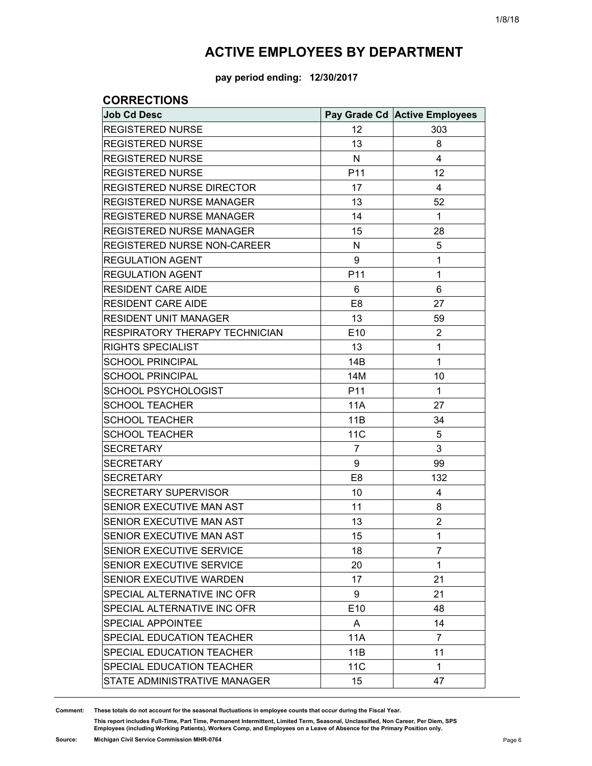**pay period ending: 12/30/2017**

### **CORRECTIONS**

| <b>Job Cd Desc</b>              |                 | Pay Grade Cd Active Employees |
|---------------------------------|-----------------|-------------------------------|
| <b>REGISTERED NURSE</b>         | 12              | 303                           |
| <b>REGISTERED NURSE</b>         | 13              | 8                             |
| <b>REGISTERED NURSE</b>         | N               | 4                             |
| <b>REGISTERED NURSE</b>         | P11             | 12                            |
| REGISTERED NURSE DIRECTOR       | 17              | 4                             |
| <b>REGISTERED NURSE MANAGER</b> | 13              | 52                            |
| <b>REGISTERED NURSE MANAGER</b> | 14              | $\mathbf{1}$                  |
| REGISTERED NURSE MANAGER        | 15              | 28                            |
| REGISTERED NURSE NON-CAREER     | N               | 5                             |
| <b>REGULATION AGENT</b>         | 9               | $\mathbf{1}$                  |
| <b>REGULATION AGENT</b>         | P11             | $\mathbf{1}$                  |
| <b>RESIDENT CARE AIDE</b>       | 6               | 6                             |
| <b>RESIDENT CARE AIDE</b>       | E <sub>8</sub>  | 27                            |
| <b>RESIDENT UNIT MANAGER</b>    | 13              | 59                            |
| RESPIRATORY THERAPY TECHNICIAN  | E10             | $\overline{c}$                |
| RIGHTS SPECIALIST               | 13              | $\mathbf{1}$                  |
| <b>SCHOOL PRINCIPAL</b>         | 14B             | $\mathbf{1}$                  |
| <b>SCHOOL PRINCIPAL</b>         | 14M             | 10                            |
| <b>SCHOOL PSYCHOLOGIST</b>      | P <sub>11</sub> | $\mathbf{1}$                  |
| <b>SCHOOL TEACHER</b>           | 11A             | 27                            |
| <b>SCHOOL TEACHER</b>           | 11B             | 34                            |
| <b>SCHOOL TEACHER</b>           | <b>11C</b>      | 5                             |
| <b>SECRETARY</b>                | 7               | 3                             |
| <b>SECRETARY</b>                | 9               | 99                            |
| <b>SECRETARY</b>                | E <sub>8</sub>  | 132                           |
| SECRETARY SUPERVISOR            | 10              | 4                             |
| SENIOR EXECUTIVE MAN AST        | 11              | 8                             |
| SENIOR EXECUTIVE MAN AST        | 13              | $\overline{2}$                |
| SENIOR EXECUTIVE MAN AST        | 15              | $\mathbf{1}$                  |
| SENIOR EXECUTIVE SERVICE        | 18              | 7                             |
| SENIOR EXECUTIVE SERVICE        | 20              | $\mathbf{1}$                  |
| SENIOR EXECUTIVE WARDEN         | 17              | 21                            |
| SPECIAL ALTERNATIVE INC OFR     | 9               | 21                            |
| SPECIAL ALTERNATIVE INC OFR     | E10             | 48                            |
| <b>SPECIAL APPOINTEE</b>        | A               | 14                            |
| SPECIAL EDUCATION TEACHER       | <b>11A</b>      | 7                             |
| SPECIAL EDUCATION TEACHER       | 11B             | 11                            |
| SPECIAL EDUCATION TEACHER       | <b>11C</b>      | $\mathbf 1$                   |
| STATE ADMINISTRATIVE MANAGER    | 15              | 47                            |

**Comment: These totals do not account for the seasonal fluctuations in employee counts that occur during the Fiscal Year.**